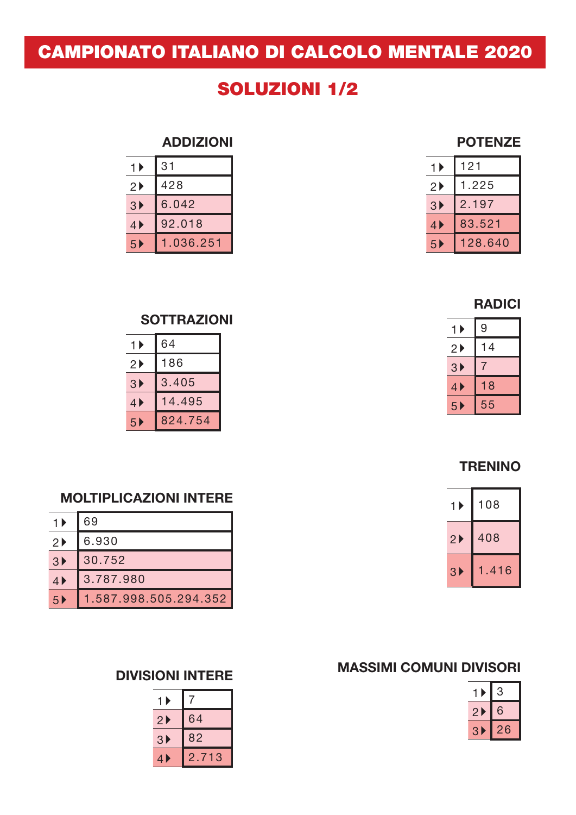# CAMPIONATO ITALIANO DI CALCOLO MENTALE 2020

# SOLUZIONI 1/2

#### ADDIZIONI

| $1+$                    | 31        | 1)                      | 121     |
|-------------------------|-----------|-------------------------|---------|
| $2 \blacktriangleright$ | 428       | $2 \blacktriangleright$ | 1.225   |
| 3 <sup>2</sup>          | 6.042     | 3 <sup>2</sup>          | 2.197   |
| $4 \blacktriangleright$ | 92.018    | 4)                      | 83.521  |
| 5 <sup>5</sup>          | 1.036.251 | 5 <sub>b</sub>          | 128.640 |

#### RADICI

POTENZE

| 1 ▶                | 9  |
|--------------------|----|
| $2 \triangleright$ | 14 |
| 3 <sup>b</sup>     |    |
| 4                  | 18 |
| 5▶                 | 55 |

### **SOTTRAZIONI**

| 1 ▶                     | 64      |
|-------------------------|---------|
| $2 \blacktriangleright$ | 186     |
| $3 \blacktriangleright$ | 3.405   |
| $4 \blacktriangleright$ | 14.495  |
| 5 <sup>2</sup>          | 824.754 |

### **TRENINO**

| 1 ▶            | 108  |
|----------------|------|
| 2 <sup>b</sup> | 408  |
| 3 <sup>b</sup> | .416 |

### MOLTIPLICAZIONI INTERE

| 1)                      | 69                    |
|-------------------------|-----------------------|
| $2 \blacktriangleright$ | 6.930                 |
| 3 <sup>b</sup>          | 30.752                |
| $4 \blacktriangleright$ | 3.787.980             |
| 5 <sub>b</sub>          | 1.587.998.505.294.352 |

## MASSIMI COMUNI DIVISORI

| 2 | 6      |
|---|--------|
| ρ | 6<br>╱ |

#### DIVISIONI INTERE

| 1<br>▶         |                      |
|----------------|----------------------|
| 2 <sup>b</sup> | 64                   |
| 3 <sup>2</sup> | 82                   |
| 4              | 713<br>$\mathbf 2$ . |